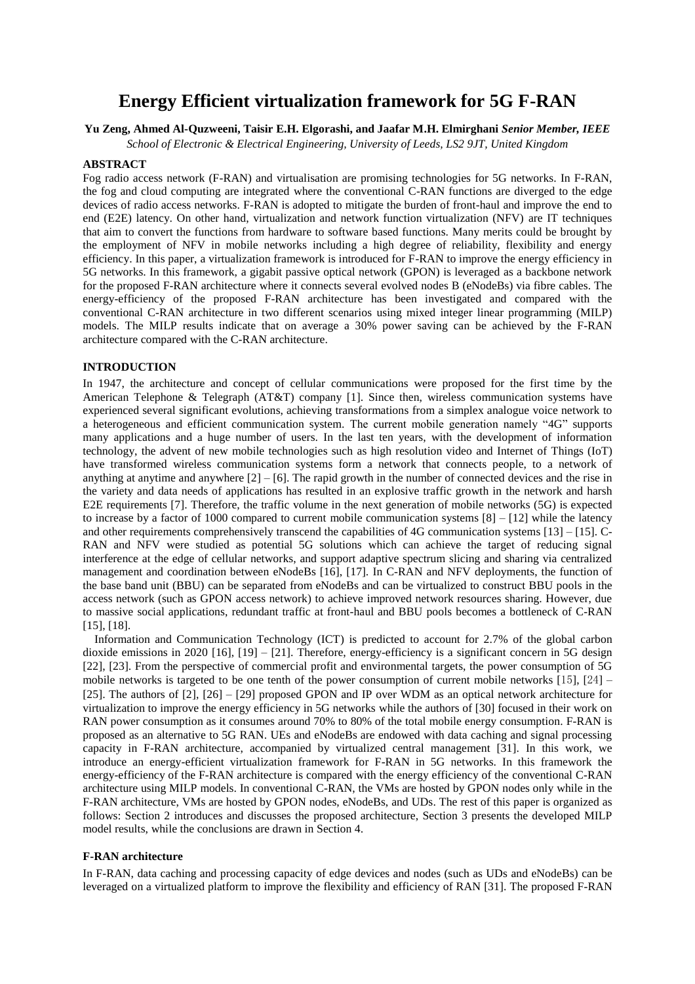# **Energy Efficient virtualization framework for 5G F-RAN**

## **Yu Zeng, Ahmed Al-Quzweeni, Taisir E.H. Elgorashi, and Jaafar M.H. Elmirghani** *Senior Member, IEEE*

*School of Electronic & Electrical Engineering, University of Leeds, LS2 9JT, United Kingdom*

## **ABSTRACT**

Fog radio access network (F-RAN) and virtualisation are promising technologies for 5G networks. In F-RAN, the fog and cloud computing are integrated where the conventional C-RAN functions are diverged to the edge devices of radio access networks. F-RAN is adopted to mitigate the burden of front-haul and improve the end to end (E2E) latency. On other hand, virtualization and network function virtualization (NFV) are IT techniques that aim to convert the functions from hardware to software based functions. Many merits could be brought by the employment of NFV in mobile networks including a high degree of reliability, flexibility and energy efficiency. In this paper, a virtualization framework is introduced for F-RAN to improve the energy efficiency in 5G networks. In this framework, a gigabit passive optical network (GPON) is leveraged as a backbone network for the proposed F-RAN architecture where it connects several evolved nodes B (eNodeBs) via fibre cables. The energy-efficiency of the proposed F-RAN architecture has been investigated and compared with the conventional C-RAN architecture in two different scenarios using mixed integer linear programming (MILP) models. The MILP results indicate that on average a 30% power saving can be achieved by the F-RAN architecture compared with the C-RAN architecture.

#### **INTRODUCTION**

In 1947, the architecture and concept of cellular communications were proposed for the first time by the American Telephone & Telegraph (AT&T) company [1]. Since then, wireless communication systems have experienced several significant evolutions, achieving transformations from a simplex analogue voice network to a heterogeneous and efficient communication system. The current mobile generation namely "4G" supports many applications and a huge number of users. In the last ten years, with the development of information technology, the advent of new mobile technologies such as high resolution video and Internet of Things (IoT) have transformed wireless communication systems form a network that connects people, to a network of anything at anytime and anywhere [2] – [6]. The rapid growth in the number of connected devices and the rise in the variety and data needs of applications has resulted in an explosive traffic growth in the network and harsh E2E requirements [7]. Therefore, the traffic volume in the next generation of mobile networks (5G) is expected to increase by a factor of 1000 compared to current mobile communication systems [8] – [12] while the latency and other requirements comprehensively transcend the capabilities of 4G communication systems [13] – [15]. C-RAN and NFV were studied as potential 5G solutions which can achieve the target of reducing signal interference at the edge of cellular networks, and support adaptive spectrum slicing and sharing via centralized management and coordination between eNodeBs [16], [17]. In C-RAN and NFV deployments, the function of the base band unit (BBU) can be separated from eNodeBs and can be virtualized to construct BBU pools in the access network (such as GPON access network) to achieve improved network resources sharing. However, due to massive social applications, redundant traffic at front-haul and BBU pools becomes a bottleneck of C-RAN [15], [18].

Information and Communication Technology (ICT) is predicted to account for 2.7% of the global carbon dioxide emissions in 2020 [16], [19] – [21]. Therefore, energy-efficiency is a significant concern in 5G design [22], [23]. From the perspective of commercial profit and environmental targets, the power consumption of 5G mobile networks is targeted to be one tenth of the power consumption of current mobile networks [15], [24] – [25]. The authors of [2], [26] – [29] proposed GPON and IP over WDM as an optical network architecture for virtualization to improve the energy efficiency in 5G networks while the authors of [30] focused in their work on RAN power consumption as it consumes around 70% to 80% of the total mobile energy consumption. F-RAN is proposed as an alternative to 5G RAN. UEs and eNodeBs are endowed with data caching and signal processing capacity in F-RAN architecture, accompanied by virtualized central management [31]. In this work, we introduce an energy-efficient virtualization framework for F-RAN in 5G networks. In this framework the energy-efficiency of the F-RAN architecture is compared with the energy efficiency of the conventional C-RAN architecture using MILP models. In conventional C-RAN, the VMs are hosted by GPON nodes only while in the F-RAN architecture, VMs are hosted by GPON nodes, eNodeBs, and UDs. The rest of this paper is organized as follows: Section 2 introduces and discusses the proposed architecture, Section 3 presents the developed MILP model results, while the conclusions are drawn in Section 4.

#### **F-RAN architecture**

In F-RAN, data caching and processing capacity of edge devices and nodes (such as UDs and eNodeBs) can be leveraged on a virtualized platform to improve the flexibility and efficiency of RAN [31]. The proposed F-RAN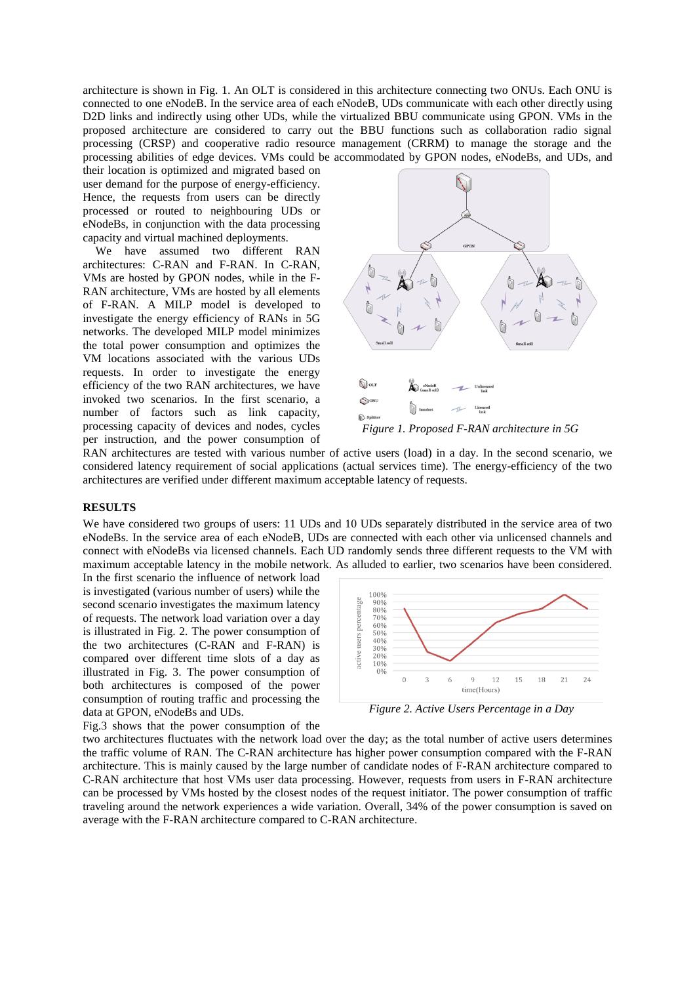architecture is shown in Fig. 1. An OLT is considered in this architecture connecting two ONUs. Each ONU is connected to one eNodeB. In the service area of each eNodeB, UDs communicate with each other directly using D2D links and indirectly using other UDs, while the virtualized BBU communicate using GPON. VMs in the proposed architecture are considered to carry out the BBU functions such as collaboration radio signal processing (CRSP) and cooperative radio resource management (CRRM) to manage the storage and the processing abilities of edge devices. VMs could be accommodated by GPON nodes, eNodeBs, and UDs, and

their location is optimized and migrated based on user demand for the purpose of energy-efficiency. Hence, the requests from users can be directly processed or routed to neighbouring UDs or eNodeBs, in conjunction with the data processing capacity and virtual machined deployments.

We have assumed two different RAN architectures: C-RAN and F-RAN. In C-RAN, VMs are hosted by GPON nodes, while in the F-RAN architecture, VMs are hosted by all elements of F-RAN. A MILP model is developed to investigate the energy efficiency of RANs in 5G networks. The developed MILP model minimizes the total power consumption and optimizes the VM locations associated with the various UDs requests. In order to investigate the energy efficiency of the two RAN architectures, we have invoked two scenarios. In the first scenario, a number of factors such as link capacity, processing capacity of devices and nodes, cycles per instruction, and the power consumption of



RAN architectures are tested with various number of active users (load) in a day. In the second scenario, we considered latency requirement of social applications (actual services time). The energy-efficiency of the two architectures are verified under different maximum acceptable latency of requests.

# **RESULTS**

We have considered two groups of users: 11 UDs and 10 UDs separately distributed in the service area of two eNodeBs. In the service area of each eNodeB, UDs are connected with each other via unlicensed channels and connect with eNodeBs via licensed channels. Each UD randomly sends three different requests to the VM with maximum acceptable latency in the mobile network. As alluded to earlier, two scenarios have been considered.

In the first scenario the influence of network load is investigated (various number of users) while the second scenario investigates the maximum latency of requests. The network load variation over a day is illustrated in Fig. 2. The power consumption of the two architectures (C-RAN and F-RAN) is compared over different time slots of a day as illustrated in Fig. 3. The power consumption of both architectures is composed of the power consumption of routing traffic and processing the data at GPON, eNodeBs and UDs.



*Figure 2. Active Users Percentage in a Day*

Fig.3 shows that the power consumption of the

two architectures fluctuates with the network load over the day; as the total number of active users determines the traffic volume of RAN. The C-RAN architecture has higher power consumption compared with the F-RAN architecture. This is mainly caused by the large number of candidate nodes of F-RAN architecture compared to C-RAN architecture that host VMs user data processing. However, requests from users in F-RAN architecture can be processed by VMs hosted by the closest nodes of the request initiator. The power consumption of traffic traveling around the network experiences a wide variation. Overall, 34% of the power consumption is saved on average with the F-RAN architecture compared to C-RAN architecture.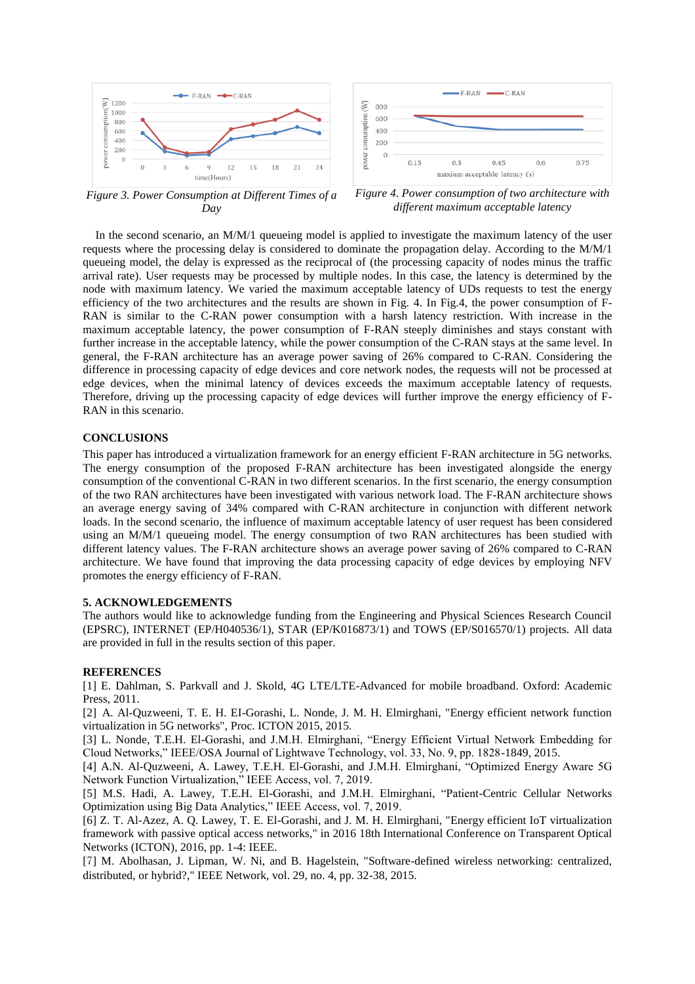



*Figure 3. Power Consumption at Different Times of a Day*

*Figure 4. Power consumption of two architecture with different maximum acceptable latency*

In the second scenario, an M/M/1 queueing model is applied to investigate the maximum latency of the user requests where the processing delay is considered to dominate the propagation delay. According to the M/M/1 queueing model, the delay is expressed as the reciprocal of (the processing capacity of nodes minus the traffic arrival rate). User requests may be processed by multiple nodes. In this case, the latency is determined by the node with maximum latency. We varied the maximum acceptable latency of UDs requests to test the energy efficiency of the two architectures and the results are shown in Fig. 4. In Fig.4, the power consumption of F-RAN is similar to the C-RAN power consumption with a harsh latency restriction. With increase in the maximum acceptable latency, the power consumption of F-RAN steeply diminishes and stays constant with further increase in the acceptable latency, while the power consumption of the C-RAN stays at the same level. In general, the F-RAN architecture has an average power saving of 26% compared to C-RAN. Considering the difference in processing capacity of edge devices and core network nodes, the requests will not be processed at edge devices, when the minimal latency of devices exceeds the maximum acceptable latency of requests. Therefore, driving up the processing capacity of edge devices will further improve the energy efficiency of F-RAN in this scenario.

## **CONCLUSIONS**

This paper has introduced a virtualization framework for an energy efficient F-RAN architecture in 5G networks. The energy consumption of the proposed F-RAN architecture has been investigated alongside the energy consumption of the conventional C-RAN in two different scenarios. In the first scenario, the energy consumption of the two RAN architectures have been investigated with various network load. The F-RAN architecture shows an average energy saving of 34% compared with C-RAN architecture in conjunction with different network loads. In the second scenario, the influence of maximum acceptable latency of user request has been considered using an M/M/1 queueing model. The energy consumption of two RAN architectures has been studied with different latency values. The F-RAN architecture shows an average power saving of 26% compared to C-RAN architecture. We have found that improving the data processing capacity of edge devices by employing NFV promotes the energy efficiency of F-RAN.

#### **5. ACKNOWLEDGEMENTS**

The authors would like to acknowledge funding from the Engineering and Physical Sciences Research Council (EPSRC), INTERNET (EP/H040536/1), STAR (EP/K016873/1) and TOWS (EP/S016570/1) projects. All data are provided in full in the results section of this paper.

### **REFERENCES**

[1] E. Dahlman, S. Parkvall and J. Skold, 4G LTE/LTE-Advanced for mobile broadband. Oxford: Academic Press, 2011.

[2] A. Al-Quzweeni, T. E. H. EI-Gorashi, L. Nonde, J. M. H. Elmirghani, "Energy efficient network function virtualization in 5G networks", Proc. ICTON 2015, 2015.

[3] L. Nonde, T.E.H. El-Gorashi, and J.M.H. Elmirghani, "Energy Efficient Virtual Network Embedding for Cloud Networks," IEEE/OSA Journal of Lightwave Technology, vol. 33, No. 9, pp. 1828-1849, 2015.

[4] A.N. Al-Quzweeni, A. Lawey, T.E.H. El-Gorashi, and J.M.H. Elmirghani, "Optimized Energy Aware 5G Network Function Virtualization," IEEE Access, vol. 7, 2019.

[5] M.S. Hadi, A. Lawey, T.E.H. El-Gorashi, and J.M.H. Elmirghani, "Patient-Centric Cellular Networks Optimization using Big Data Analytics," IEEE Access, vol. 7, 2019.

[6] Z. T. Al-Azez, A. Q. Lawey, T. E. El-Gorashi, and J. M. H. Elmirghani, "Energy efficient IoT virtualization framework with passive optical access networks," in 2016 18th International Conference on Transparent Optical Networks (ICTON), 2016, pp. 1-4: IEEE.

[7] M. Abolhasan, J. Lipman, W. Ni, and B. Hagelstein, "Software-defined wireless networking: centralized, distributed, or hybrid?," IEEE Network, vol. 29, no. 4, pp. 32-38, 2015.